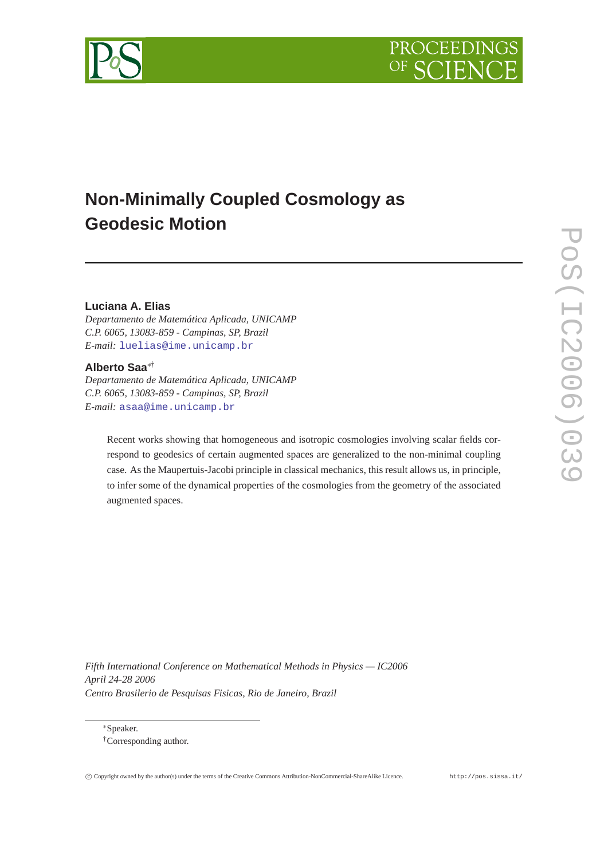



# **Non-Minimally Coupled Cosmology as Geodesic Motion**

# **Luciana A. Elias**

*Departamento de Matemática Aplicada, UNICAMP C.P. 6065, 13083-859 - Campinas, SP, Brazil E-mail:* [luelias@ime.unicamp.br](mailto:luelias@ime.unicamp.br)

# **Alberto Saa**∗†

*Departamento de Matemática Aplicada, UNICAMP C.P. 6065, 13083-859 - Campinas, SP, Brazil E-mail:* [asaa@ime.unicamp.br](mailto:asaa@ime.unicamp.br)

Recent works showing that homogeneous and isotropic cosmologies involving scalar fields correspond to geodesics of certain augmented spaces are generalized to the non-minimal coupling case. As the Maupertuis-Jacobi principle in classical mechanics, this result allows us, in principle, to infer some of the dynamical properties of the cosmologies from the geometry of the associated augmented spaces.

*Fifth International Conference on Mathematical Methods in Physics — IC2006 April 24-28 2006 Centro Brasilerio de Pesquisas Fisicas, Rio de Janeiro, Brazil*

<sup>∗</sup>Speaker. †Corresponding author.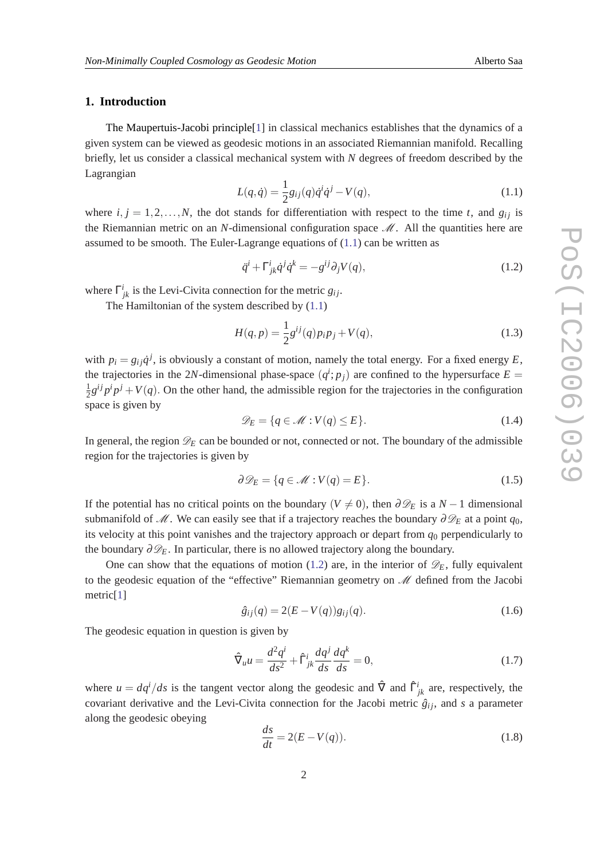## <span id="page-1-0"></span>**1. Introduction**

The Maupertuis-Jacobi principle[\[1\]](#page-4-0) in classical mechanics establishes that the dynamics of a given system can be viewed as geodesic motions in an associated Riemannian manifold. Recalling briefly, let us consider a classical mechanical system with *N* degrees of freedom described by the Lagrangian

$$
L(q, \dot{q}) = \frac{1}{2}g_{ij}(q)\dot{q}^{i}\dot{q}^{j} - V(q),
$$
\n(1.1)

where  $i, j = 1, 2, \ldots, N$ , the dot stands for differentiation with respect to the time *t*, and  $g_{ij}$  is the Riemannian metric on an *N*-dimensional configuration space  $\mathcal{M}$ . All the quantities here are assumed to be smooth. The Euler-Lagrange equations of  $(1,1)$  can be written as

$$
\ddot{q}^i + \Gamma^i_{jk}\dot{q}^j\dot{q}^k = -g^{ij}\partial_j V(q),\tag{1.2}
$$

where  $\Gamma^i_{jk}$  is the Levi-Civita connection for the metric  $g_{ij}$ .

The Hamiltonian of the system described by (1.1)

$$
H(q, p) = \frac{1}{2}g^{ij}(q)p_i p_j + V(q),
$$
\n(1.3)

with  $p_i = g_{ij} \dot{q}^j$ , is obviously a constant of motion, namely the total energy. For a fixed energy *E*, the trajectories in the 2*N*-dimensional phase-space  $(q<sup>i</sup>; p<sub>j</sub>)$  are confined to the hypersurface  $E =$ 1  $\frac{1}{2}g^{ij}p^i p^j + V(q)$ . On the other hand, the admissible region for the trajectories in the configuration space is given by

$$
\mathcal{D}_E = \{ q \in \mathcal{M} : V(q) \le E \}. \tag{1.4}
$$

In general, the region  $\mathscr{D}_E$  can be bounded or not, connected or not. The boundary of the admissible region for the trajectories is given by

$$
\partial \mathcal{D}_E = \{ q \in \mathcal{M} : V(q) = E \}. \tag{1.5}
$$

If the potential has no critical points on the boundary ( $V \neq 0$ ), then  $\partial \mathcal{D}_E$  is a *N* − 1 dimensional submanifold of M. We can easily see that if a trajectory reaches the boundary  $\partial \mathcal{D}_E$  at a point  $q_0$ , its velocity at this point vanishes and the trajectory approach or depart from  $q_0$  perpendicularly to the boundary  $\partial \mathcal{D}_E$ . In particular, there is no allowed trajectory along the boundary.

One can show that the equations of motion (1.2) are, in the interior of  $\mathscr{D}_E$ , fully equivalent to the geodesic equation of the "effective" Riemannian geometry on  $\mathcal M$  defined from the Jacobi metric[[1](#page-4-0)]

$$
\hat{g}_{ij}(q) = 2(E - V(q))g_{ij}(q). \tag{1.6}
$$

The geodesic equation in question is given by

$$
\hat{\nabla}_u u = \frac{d^2 q^i}{ds^2} + \hat{\Gamma}^i_{jk} \frac{dq^j}{ds} \frac{dq^k}{ds} = 0,
$$
\n(1.7)

where  $u = dq^i/ds$  is the tangent vector along the geodesic and  $\hat{\nabla}$  and  $\hat{\Gamma}^i_{jk}$  are, respectively, the covariant derivative and the Levi-Civita connection for the Jacobi metric  $\hat{g}_{ij}$ , and *s* a parameter along the geodesic obeying

$$
\frac{ds}{dt} = 2(E - V(q)).\tag{1.8}
$$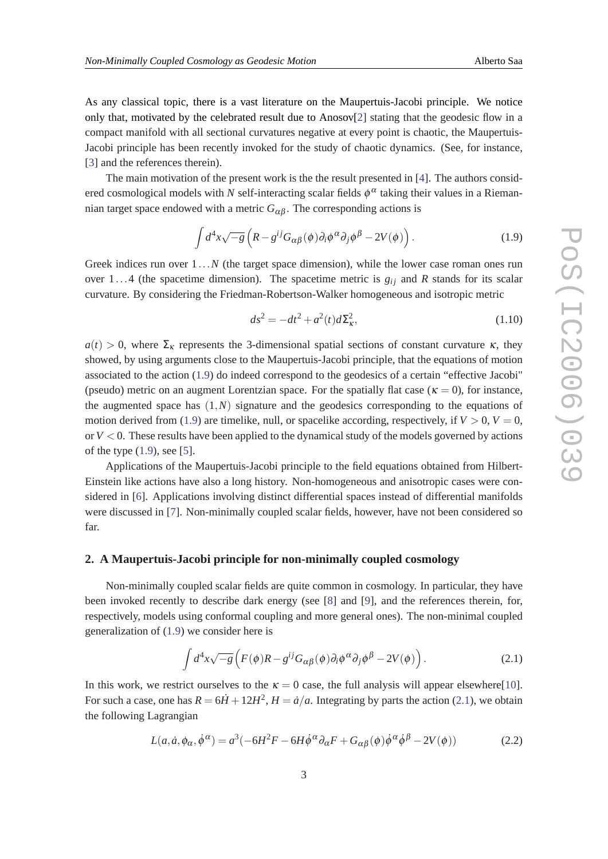<span id="page-2-0"></span>As any classical topic, there is a vast literature on the Maupertuis-Jacobi principle. We notice only that, motivated by the celebrated result due to Anosov[\[2\]](#page-4-0) stating that the geodesic flow in a compact manifold with all sectional curvatures negative at every point is chaotic, the Maupertuis-Jacobi principle has been recently invoked for the study of chaotic dynamics. (See, for instance, [[3](#page-4-0)] and the references therein).

The main motivation of the present work is the the result presented in [[4\]](#page-5-0). The authors considered cosmological models with *N* self-interacting scalar fields  $\phi^\alpha$  taking their values in a Riemannian target space endowed with a metric  $G_{\alpha\beta}$ . The corresponding actions is

$$
\int d^4x \sqrt{-g} \left( R - g^{ij} G_{\alpha\beta}(\phi) \partial_i \phi^\alpha \partial_j \phi^\beta - 2V(\phi) \right). \tag{1.9}
$$

Greek indices run over  $1...N$  (the target space dimension), while the lower case roman ones run over 1...4 (the spacetime dimension). The spacetime metric is  $g_{ij}$  and *R* stands for its scalar curvature. By considering the Friedman-Robertson-Walker homogeneous and isotropic metric

$$
ds^2 = -dt^2 + a^2(t)d\Sigma_{\kappa}^2,
$$
\t(1.10)

 $a(t) > 0$ , where  $\Sigma_{\kappa}$  represents the 3-dimensional spatial sections of constant curvature  $\kappa$ , they showed, by using arguments close to the Maupertuis-Jacobi principle, that the equations of motion associated to the action (1.9) do indeed correspond to the geodesics of a certain "effective Jacobi" (pseudo) metric on an augment Lorentzian space. For the spatially flat case ( $\kappa = 0$ ), for instance, the augmented space has  $(1,N)$  signature and the geodesics corresponding to the equations of motion derived from (1.9) are timelike, null, or spacelike according, respectively, if  $V > 0$ ,  $V = 0$ , or  $V < 0$ . These results have been applied to the dynamical study of the models governed by actions of the type  $(1.9)$ , see [\[5\]](#page-5-0).

Applications of the Maupertuis-Jacobi principle to the field equations obtained from Hilbert-Einstein like actions have also a long history. Non-homogeneous and anisotropic cases were considered in [\[6\]](#page-5-0). Applications involving distinct differential spaces instead of differential manifolds were discussed in [[7](#page-5-0)]. Non-minimally coupled scalar fields, however, have not been considered so far.

### **2. A Maupertuis-Jacobi principle for non-minimally coupled cosmology**

Non-minimally coupled scalar fields are quite common in cosmology. In particular, they have been invoked recently to describe dark energy (see [[8](#page-5-0)] and [\[9\]](#page-5-0), and the references therein, for, respectively, models using conformal coupling and more general ones). The non-minimal coupled generalization of (1.9) we consider here is

$$
\int d^4x \sqrt{-g} \left( F(\phi)R - g^{ij}G_{\alpha\beta}(\phi)\partial_i\phi^{\alpha}\partial_j\phi^{\beta} - 2V(\phi) \right). \tag{2.1}
$$

In this work, we restrict ourselves to the  $\kappa = 0$  case, the full analysis will appear elsewhere[[10\]](#page-5-0). For such a case, one has  $R = 6\dot{H} + 12H^2$ ,  $H = \dot{a}/a$ . Integrating by parts the action (2.1), we obtain the following Lagrangian

$$
L(a, \dot{a}, \phi_{\alpha}, \dot{\phi}^{\alpha}) = a^3(-6H^2F - 6H\dot{\phi}^{\alpha}\partial_{\alpha}F + G_{\alpha\beta}(\phi)\dot{\phi}^{\alpha}\dot{\phi}^{\beta} - 2V(\phi))
$$
(2.2)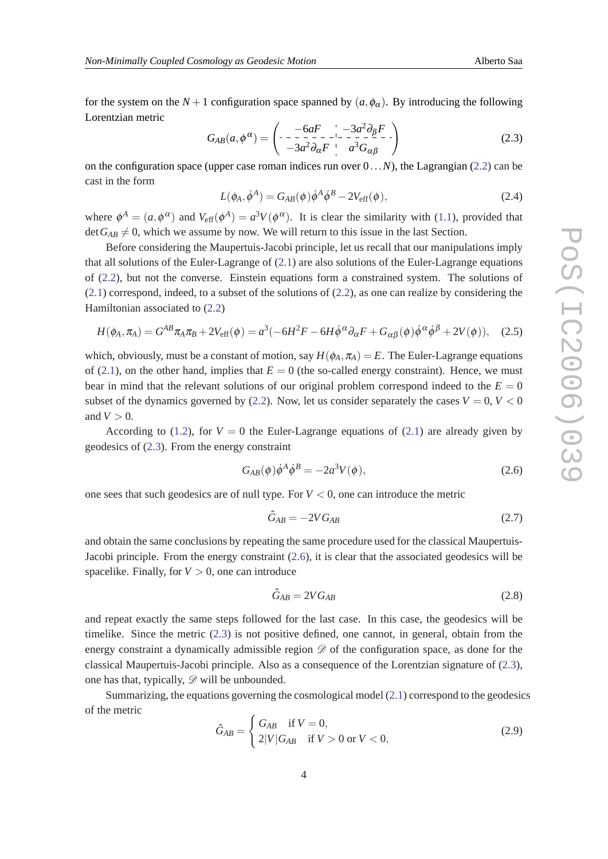<span id="page-3-0"></span>for the system on the  $N+1$  configuration space spanned by  $(a, \phi_\alpha)$ . By introducing the following Lorentzian metric

$$
G_{AB}(a,\phi^{\alpha}) = \begin{pmatrix} -6aF & -3a^2\partial_{\beta}F \\ -3a^2\partial_{\alpha}F & a^3G_{\alpha\beta} \end{pmatrix}
$$
(2.3)

on the configuration space (upper case roman indices run over 0...*N*), the Lagrangian ([2.2\)](#page-2-0) can be cast in the form

$$
L(\phi_A, \dot{\phi}^A) = G_{AB}(\phi)\dot{\phi}^A\dot{\phi}^B - 2V_{\text{eff}}(\phi), \qquad (2.4)
$$

where  $\phi^A = (a, \phi^{\alpha})$  and  $V_{\text{eff}}(\phi^A) = a^3 V(\phi^{\alpha})$ . It is clear the similarity with [\(1.1\)](#page-1-0), provided that  $\det G_{AB} \neq 0$ , which we assume by now. We will return to this issue in the last Section.

Before considering the Maupertuis-Jacobi principle, let us recall that our manipulations imply that all solutions of the Euler-Lagrange of ([2.1](#page-2-0)) are also solutions of the Euler-Lagrange equations of ([2.2\)](#page-2-0), but not the converse. Einstein equations form a constrained system. The solutions of ([2.1\)](#page-2-0) correspond, indeed, to a subset of the solutions of [\(2.2\)](#page-2-0), as one can realize by considering the Hamiltonian associated to [\(2.2\)](#page-2-0)

$$
H(\phi_A, \pi_A) = G^{AB} \pi_A \pi_B + 2V_{\text{eff}}(\phi) = a^3(-6H^2F - 6H\dot{\phi}^{\alpha}\partial_{\alpha}F + G_{\alpha\beta}(\phi)\dot{\phi}^{\alpha}\dot{\phi}^{\beta} + 2V(\phi)), \quad (2.5)
$$

which, obviously, must be a constant of motion, say  $H(\phi_A, \pi_A) = E$ . The Euler-Lagrange equations of [\(2.1\)](#page-2-0), on the other hand, implies that  $E = 0$  (the so-called energy constraint). Hence, we must bear in mind that the relevant solutions of our original problem correspond indeed to the  $E = 0$ subset of the dynamics governed by [\(2.2\)](#page-2-0). Now, let us consider separately the cases  $V = 0, V < 0$ and  $V > 0$ .

According to [\(1.2](#page-1-0)), for  $V = 0$  the Euler-Lagrange equations of [\(2.1](#page-2-0)) are already given by geodesics of (2.3). From the energy constraint

$$
G_{AB}(\phi)\dot{\phi}^A\dot{\phi}^B = -2a^3V(\phi),\tag{2.6}
$$

one sees that such geodesics are of null type. For  $V < 0$ , one can introduce the metric

$$
\hat{G}_{AB} = -2VG_{AB} \tag{2.7}
$$

and obtain the same conclusions by repeating the same procedure used for the classical Maupertuis-Jacobi principle. From the energy constraint (2.6), it is clear that the associated geodesics will be spacelike. Finally, for  $V > 0$ , one can introduce

$$
\hat{G}_{AB} = 2VG_{AB} \tag{2.8}
$$

and repeat exactly the same steps followed for the last case. In this case, the geodesics will be timelike. Since the metric (2.3) is not positive defined, one cannot, in general, obtain from the energy constraint a dynamically admissible region  $\mathscr D$  of the configuration space, as done for the classical Maupertuis-Jacobi principle. Also as a consequence of the Lorentzian signature of (2.3), one has that, typically,  $\mathscr{D}$  will be unbounded.

Summarizing, the equations governing the cosmological model [\(2.1\)](#page-2-0) correspond to the geodesics of the metric

$$
\hat{G}_{AB} = \begin{cases} G_{AB} & \text{if } V = 0, \\ 2|V|G_{AB} & \text{if } V > 0 \text{ or } V < 0, \end{cases}
$$
 (2.9)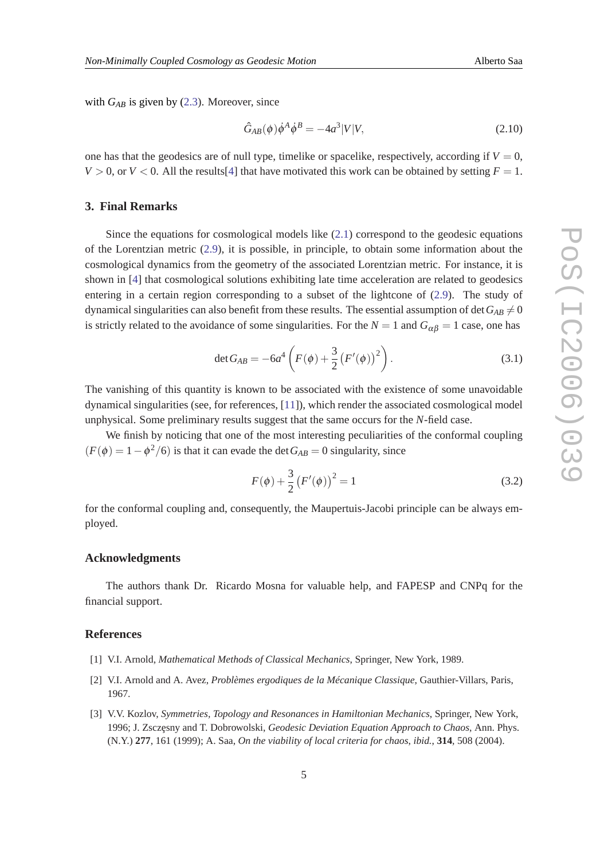<span id="page-4-0"></span>with  $G_{AB}$  is given by [\(2.3\)](#page-3-0). Moreover, since

$$
\hat{G}_{AB}(\phi)\dot{\phi}^A\dot{\phi}^B = -4a^3|V|V,\tag{2.10}
$$

one has that the geodesics are of null type, timelike or spacelike, respectively, according if  $V = 0$ ,  $V > 0$ , or  $V < 0$ . All the results[[4](#page-5-0)] that have motivated this work can be obtained by setting  $F = 1$ .

## **3. Final Remarks**

Since the equations for cosmological models like  $(2.1)$  correspond to the geodesic equations of the Lorentzian metric ([2.9](#page-3-0)), it is possible, in principle, to obtain some information about the cosmological dynamics from the geometry of the associated Lorentzian metric. For instance, it is shown in [[4](#page-5-0)] that cosmological solutions exhibiting late time acceleration are related to geodesics entering in a certain region corresponding to a subset of the lightcone of [\(2.9\)](#page-3-0). The study of dynamical singularities can also benefit from these results. The essential assumption of det  $G_{AB} \neq 0$ is strictly related to the avoidance of some singularities. For the  $N = 1$  and  $G_{\alpha\beta} = 1$  case, one has

$$
\det G_{AB} = -6a^4 \left( F(\phi) + \frac{3}{2} \left( F'(\phi) \right)^2 \right). \tag{3.1}
$$

The vanishing of this quantity is known to be associated with the existence of some unavoidable dynamical singularities (see, for references, [\[11](#page-5-0)]), which render the associated cosmological model unphysical. Some preliminary results suggest that the same occurs for the *N*-field case.

We finish by noticing that one of the most interesting peculiarities of the conformal coupling  $(F(\phi) = 1 - \phi^2/6)$  is that it can evade the det  $G_{AB} = 0$  singularity, since

$$
F(\phi) + \frac{3}{2} (F'(\phi))^2 = 1
$$
\n(3.2)

for the conformal coupling and, consequently, the Maupertuis-Jacobi principle can be always employed.

#### **Acknowledgments**

The authors thank Dr. Ricardo Mosna for valuable help, and FAPESP and CNPq for the financial support.

#### **References**

- [1] V.I. Arnold, *Mathematical Methods of Classical Mechanics*, Springer, New York, 1989.
- [2] V.I. Arnold and A. Avez, *Problèmes ergodiques de la Mécanique Classique*, Gauthier-Villars, Paris, 1967.
- [3] V.V. Kozlov, *Symmetries, Topology and Resonances in Hamiltonian Mechanics*, Springer, New York, 1996; J. Zsczęsny and T. Dobrowolski, *Geodesic Deviation Equation Approach to Chaos*, Ann. Phys. (N.Y.) **277**, 161 (1999); A. Saa, *On the viability of local criteria for chaos*, *ibid.*, **314**, 508 (2004).